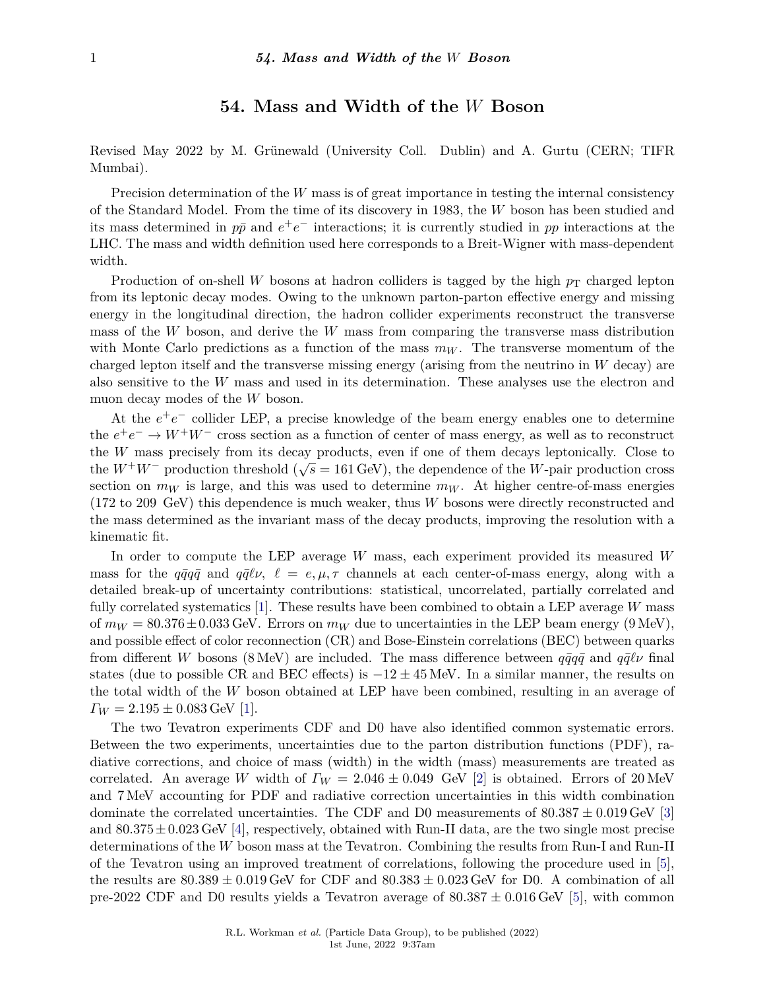## **54. Mass and Width of the** *W* **Boson**

Revised May 2022 by M. Grünewald (University Coll. Dublin) and A. Gurtu (CERN; TIFR Mumbai).

Precision determination of the *W* mass is of great importance in testing the internal consistency of the Standard Model. From the time of its discovery in 1983, the *W* boson has been studied and its mass determined in  $p\bar{p}$  and  $e^+e^-$  interactions; it is currently studied in  $pp$  interactions at the LHC. The mass and width definition used here corresponds to a Breit-Wigner with mass-dependent width.

Production of on-shell *W* bosons at hadron colliders is tagged by the high  $p<sub>T</sub>$  charged lepton from its leptonic decay modes. Owing to the unknown parton-parton effective energy and missing energy in the longitudinal direction, the hadron collider experiments reconstruct the transverse mass of the *W* boson, and derive the *W* mass from comparing the transverse mass distribution with Monte Carlo predictions as a function of the mass  $m_W$ . The transverse momentum of the charged lepton itself and the transverse missing energy (arising from the neutrino in *W* decay) are also sensitive to the *W* mass and used in its determination. These analyses use the electron and muon decay modes of the *W* boson.

At the  $e^+e^-$  collider LEP, a precise knowledge of the beam energy enables one to determine the  $e^+e^- \to W^+W^-$  cross section as a function of center of mass energy, as well as to reconstruct the *W* mass precisely from its decay products, even if one of them decays leptonically. Close to the *W*+*W*<sup>−</sup> production threshold ( $\sqrt{s}$  = 161 GeV), the dependence of the *W*-pair production cross section on  $m_W$  is large, and this was used to determine  $m_W$ . At higher centre-of-mass energies (172 to 209 GeV) this dependence is much weaker, thus *W* bosons were directly reconstructed and the mass determined as the invariant mass of the decay products, improving the resolution with a kinematic fit.

In order to compute the LEP average *W* mass, each experiment provided its measured *W* mass for the  $q\bar{q}q\bar{q}$  and  $q\bar{q}\ell\nu$ ,  $\ell = e, \mu, \tau$  channels at each center-of-mass energy, along with a detailed break-up of uncertainty contributions: statistical, uncorrelated, partially correlated and fully correlated systematics [\[1\]](#page-3-0). These results have been combined to obtain a LEP average *W* mass of  $m_W = 80.376 \pm 0.033$  GeV. Errors on  $m_W$  due to uncertainties in the LEP beam energy (9 MeV), and possible effect of color reconnection (CR) and Bose-Einstein correlations (BEC) between quarks from different *W* bosons (8 MeV) are included. The mass difference between  $q\bar{q}q\bar{q}$  and  $q\bar{q}\ell\nu$  final states (due to possible CR and BEC effects) is  $-12 \pm 45$  MeV. In a similar manner, the results on the total width of the *W* boson obtained at LEP have been combined, resulting in an average of  $\Gamma_W = 2.195 \pm 0.083$  GeV [\[1\]](#page-3-0).

The two Tevatron experiments CDF and D0 have also identified common systematic errors. Between the two experiments, uncertainties due to the parton distribution functions (PDF), radiative corrections, and choice of mass (width) in the width (mass) measurements are treated as correlated. An average *W* width of  $\Gamma_W = 2.046 \pm 0.049$  GeV [\[2\]](#page-3-1) is obtained. Errors of 20 MeV and 7 MeV accounting for PDF and radiative correction uncertainties in this width combination dominate the correlated uncertainties. The CDF and D0 measurements of  $80.387 \pm 0.019 \,\text{GeV}$  [\[3\]](#page-3-2) and 80*.*375±0*.*023 GeV [\[4\]](#page-3-3), respectively, obtained with Run-II data, are the two single most precise determinations of the *W* boson mass at the Tevatron. Combining the results from Run-I and Run-II of the Tevatron using an improved treatment of correlations, following the procedure used in [\[5\]](#page-3-4), the results are  $80.389 \pm 0.019$  GeV for CDF and  $80.383 \pm 0.023$  GeV for D0. A combination of all pre-2022 CDF and D0 results yields a Tevatron average of 80*.*387 ± 0*.*016 GeV [\[5\]](#page-3-4), with common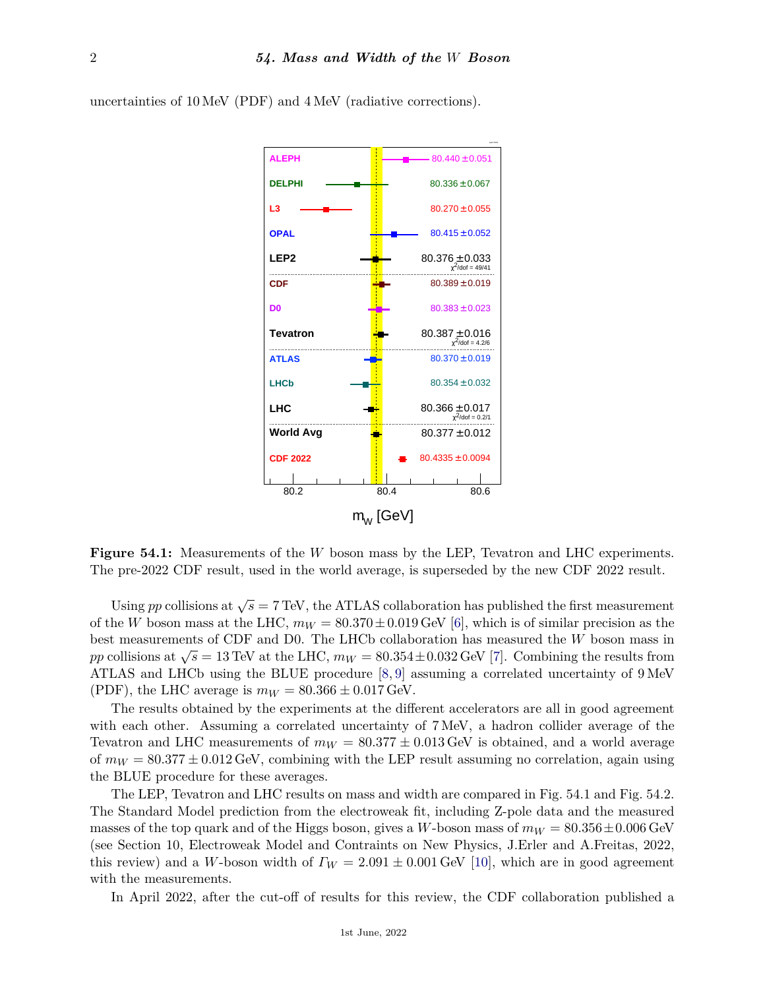

uncertainties of 10 MeV (PDF) and 4 MeV (radiative corrections).

**Figure 54.1:** Measurements of the *W* boson mass by the LEP, Tevatron and LHC experiments. The pre-2022 CDF result, used in the world average, is superseded by the new CDF 2022 result.

Using *pp* collisions at  $\sqrt{s} = 7$  TeV, the ATLAS collaboration has published the first measurement of the *W* boson mass at the LHC,  $m_W = 80.370 \pm 0.019$  GeV [\[6\]](#page-3-5), which is of similar precision as the best measurements of CDF and D0. The LHCb collaboration has measured the *W* boson mass in *pp* collisions at  $\sqrt{s} = 13$  TeV at the LHC,  $m_W = 80.354 \pm 0.032$  GeV [\[7\]](#page-3-6). Combining the results from ATLAS and LHCb using the BLUE procedure [\[8,](#page-3-7) [9\]](#page-3-8) assuming a correlated uncertainty of 9 MeV (PDF), the LHC average is  $m_W = 80.366 \pm 0.017$  GeV.

The results obtained by the experiments at the different accelerators are all in good agreement with each other. Assuming a correlated uncertainty of 7 MeV, a hadron collider average of the Tevatron and LHC measurements of  $m_W = 80.377 \pm 0.013 \,\text{GeV}$  is obtained, and a world average of  $m_W = 80.377 \pm 0.012$  GeV, combining with the LEP result assuming no correlation, again using the BLUE procedure for these averages.

The LEP, Tevatron and LHC results on mass and width are compared in Fig. 54.1 and Fig. 54.2. The Standard Model prediction from the electroweak fit, including Z-pole data and the measured masses of the top quark and of the Higgs boson, gives a *W*-boson mass of  $m_W = 80.356 \pm 0.006$  GeV (see Section 10, Electroweak Model and Contraints on New Physics, J.Erler and A.Freitas, 2022, this review) and a *W*-boson width of  $\Gamma_W = 2.091 \pm 0.001$  GeV [\[10\]](#page-3-9), which are in good agreement with the measurements.

In April 2022, after the cut-off of results for this review, the CDF collaboration published a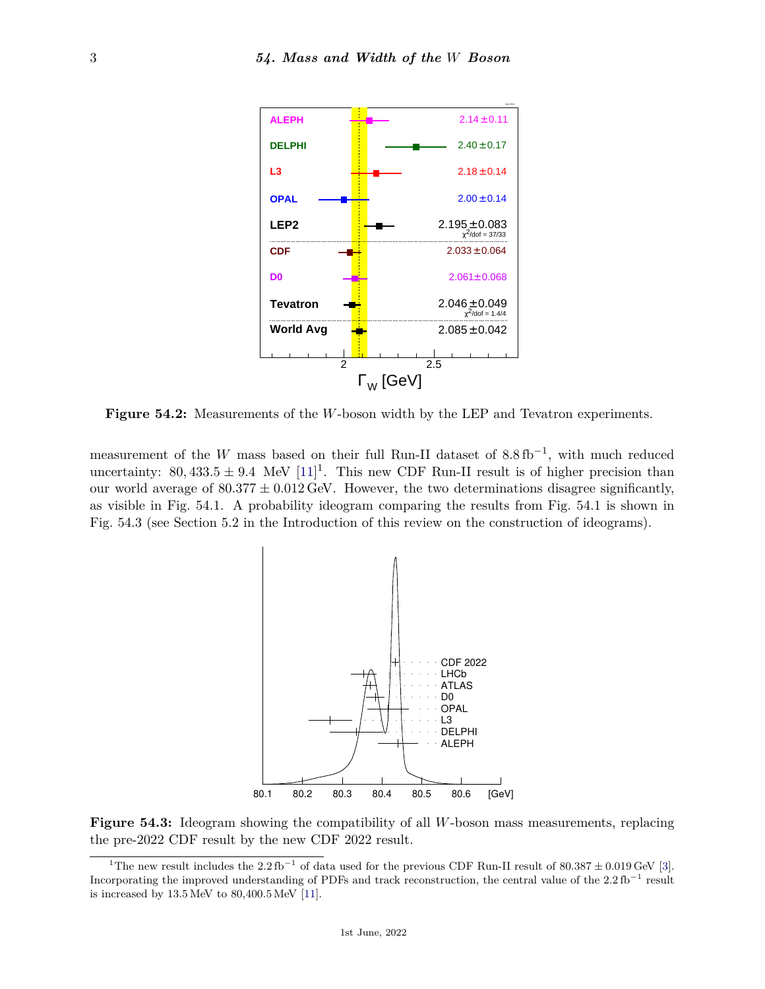

**Figure 54.2:** Measurements of the *W*-boson width by the LEP and Tevatron experiments.

measurement of the *W* mass based on their full Run-II dataset of  $8.8 \text{ fb}^{-1}$ , with much reduced uncertainty:  $80,433.5 \pm 9.4$  MeV  $[11]$ <sup>[1](#page-2-0)</sup>. This new CDF Run-II result is of higher precision than our world average of  $80.377 \pm 0.012$  GeV. However, the two determinations disagree significantly, as visible in Fig. 54.1. A probability ideogram comparing the results from Fig. 54.1 is shown in Fig. 54.3 (see Section 5.2 in the Introduction of this review on the construction of ideograms).



**Figure 54.3:** Ideogram showing the compatibility of all *W*-boson mass measurements, replacing the pre-2022 CDF result by the new CDF 2022 result.

<span id="page-2-0"></span><sup>&</sup>lt;sup>1</sup>The new result includes the 2.2 fb<sup>-1</sup> of data used for the previous CDF Run-II result of 80.387  $\pm$  0.019 GeV [\[3\]](#page-3-2). Incorporating the improved understanding of PDFs and track reconstruction, the central value of the  $2.2\,\text{fb}^{-1}$  result is increased by 13.5 MeV to 80,400.5 MeV [\[11\]](#page-3-10).